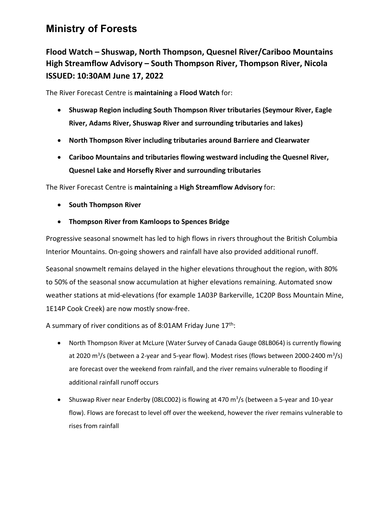## **Ministry of Forests**

**Flood Watch – Shuswap, North Thompson, Quesnel River/Cariboo Mountains High Streamflow Advisory – South Thompson River, Thompson River, Nicola ISSUED: 10:30AM June 17, 2022**

The River Forecast Centre is **maintaining** a **Flood Watch** for:

- **Shuswap Region including South Thompson River tributaries (Seymour River, Eagle River, Adams River, Shuswap River and surrounding tributaries and lakes)**
- **North Thompson River including tributaries around Barriere and Clearwater**
- **Cariboo Mountains and tributaries flowing westward including the Quesnel River, Quesnel Lake and Horsefly River and surrounding tributaries**

The River Forecast Centre is **maintaining** a **High Streamflow Advisory** for:

- **South Thompson River**
- **Thompson River from Kamloops to Spences Bridge**

Progressive seasonal snowmelt has led to high flows in rivers throughout the British Columbia Interior Mountains. On-going showers and rainfall have also provided additional runoff.

Seasonal snowmelt remains delayed in the higher elevations throughout the region, with 80% to 50% of the seasonal snow accumulation at higher elevations remaining. Automated snow weather stations at mid-elevations (for example 1A03P Barkerville, 1C20P Boss Mountain Mine, 1E14P Cook Creek) are now mostly snow-free.

A summary of river conditions as of 8:01AM Friday June  $17<sup>th</sup>$ :

- North Thompson River at McLure (Water Survey of Canada Gauge 08LB064) is currently flowing at 2020 m<sup>3</sup>/s (between a 2-year and 5-year flow). Modest rises (flows between 2000-2400 m<sup>3</sup>/s) are forecast over the weekend from rainfall, and the river remains vulnerable to flooding if additional rainfall runoff occurs
- Shuswap River near Enderby (08LC002) is flowing at 470 m<sup>3</sup>/s (between a 5-year and 10-year flow). Flows are forecast to level off over the weekend, however the river remains vulnerable to rises from rainfall